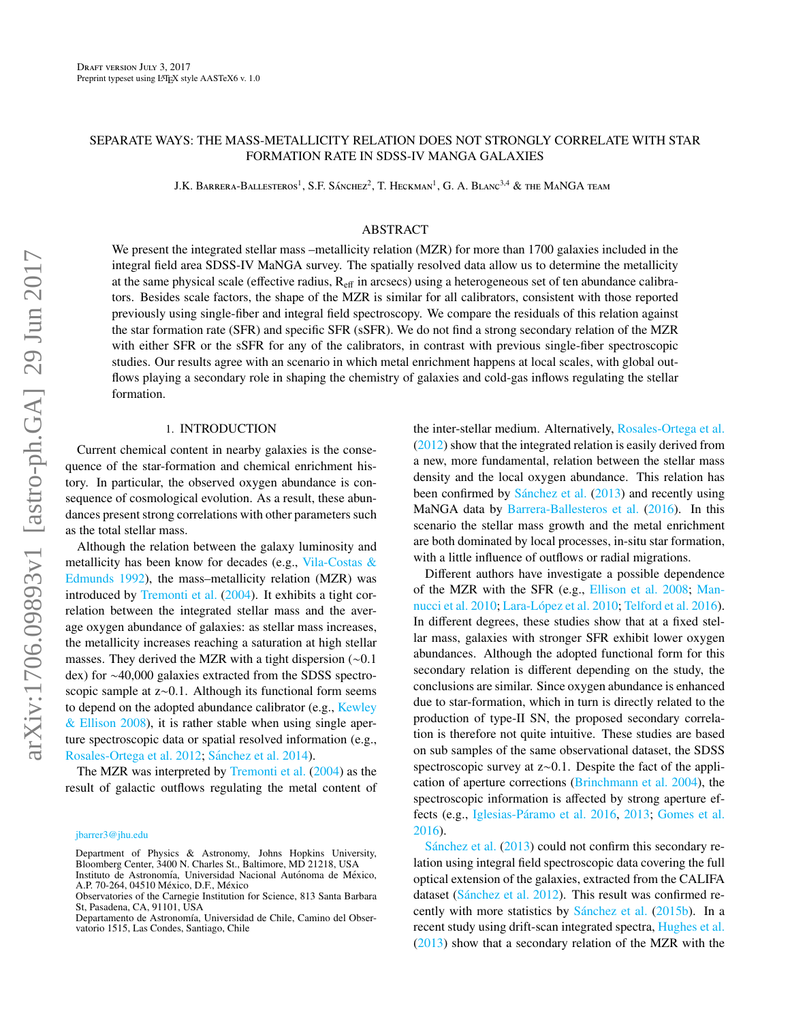# SEPARATE WAYS: THE MASS-METALLICITY RELATION DOES NOT STRONGLY CORRELATE WITH STAR FORMATION RATE IN SDSS-IV MANGA GALAXIES

J.K. Barrera-Ballesteros<sup>1</sup>, S.F. Sánchez<sup>2</sup>, T. Heckman<sup>1</sup>, G. A. Blanc<sup>3,4</sup> & the MaNGA team

## ABSTRACT

We present the integrated stellar mass –metallicity relation (MZR) for more than 1700 galaxies included in the integral field area SDSS-IV MaNGA survey. The spatially resolved data allow us to determine the metallicity at the same physical scale (effective radius, Reff in arcsecs) using a heterogeneous set of ten abundance calibrators. Besides scale factors, the shape of the MZR is similar for all calibrators, consistent with those reported previously using single-fiber and integral field spectroscopy. We compare the residuals of this relation against the star formation rate (SFR) and specific SFR (sSFR). We do not find a strong secondary relation of the MZR with either SFR or the sSFR for any of the calibrators, in contrast with previous single-fiber spectroscopic studies. Our results agree with an scenario in which metal enrichment happens at local scales, with global outflows playing a secondary role in shaping the chemistry of galaxies and cold-gas inflows regulating the stellar formation.

### 1. INTRODUCTION

Current chemical content in nearby galaxies is the consequence of the star-formation and chemical enrichment history. In particular, the observed oxygen abundance is consequence of cosmological evolution. As a result, these abundances present strong correlations with other parameters such as the total stellar mass.

Although the relation between the galaxy luminosity and metallicity has been know for decades (e.g., [Vila-Costas &](#page-9-0) [Edmunds](#page-9-0) [1992\)](#page-9-0), the mass–metallicity relation (MZR) was introduced by [Tremonti et al.](#page-9-1) [\(2004\)](#page-9-1). It exhibits a tight correlation between the integrated stellar mass and the average oxygen abundance of galaxies: as stellar mass increases, the metallicity increases reaching a saturation at high stellar masses. They derived the MZR with a tight dispersion (∼0.1 dex) for ∼40,000 galaxies extracted from the SDSS spectroscopic sample at z∼0.1. Although its functional form seems to depend on the adopted abundance calibrator (e.g., [Kewley](#page-9-2) [& Ellison](#page-9-2) [2008\)](#page-9-2), it is rather stable when using single aperture spectroscopic data or spatial resolved information (e.g., [Rosales-Ortega et al.](#page-9-3) [2012;](#page-9-3) Sánchez et al. [2014\)](#page-9-4).

The MZR was interpreted by [Tremonti et al.](#page-9-1) [\(2004\)](#page-9-1) as the result of galactic outflows regulating the metal content of the inter-stellar medium. Alternatively, [Rosales-Ortega et al.](#page-9-3) [\(2012\)](#page-9-3) show that the integrated relation is easily derived from a new, more fundamental, relation between the stellar mass density and the local oxygen abundance. This relation has been confirmed by  $Sánchez$  et al.  $(2013)$  and recently using MaNGA data by [Barrera-Ballesteros et al.](#page-9-6) [\(2016\)](#page-9-6). In this scenario the stellar mass growth and the metal enrichment are both dominated by local processes, in-situ star formation, with a little influence of outflows or radial migrations.

Different authors have investigate a possible dependence of the MZR with the SFR (e.g., [Ellison et al.](#page-9-7) [2008;](#page-9-7) [Man](#page-9-8)[nucci et al.](#page-9-8) [2010;](#page-9-9) Lara-López et al. 2010; [Telford et al.](#page-9-10) [2016\)](#page-9-10). In different degrees, these studies show that at a fixed stellar mass, galaxies with stronger SFR exhibit lower oxygen abundances. Although the adopted functional form for this secondary relation is different depending on the study, the conclusions are similar. Since oxygen abundance is enhanced due to star-formation, which in turn is directly related to the production of type-II SN, the proposed secondary correlation is therefore not quite intuitive. These studies are based on sub samples of the same observational dataset, the SDSS spectroscopic survey at z∼0.1. Despite the fact of the application of aperture corrections [\(Brinchmann et al.](#page-9-11) [2004\)](#page-9-11), the spectroscopic information is affected by strong aperture ef-fects (e.g., Iglesias-Páramo et al. [2016,](#page-9-12) [2013;](#page-9-13) [Gomes et al.](#page-9-14) [2016\)](#page-9-14).

Sánchez et al.  $(2013)$  could not confirm this secondary relation using integral field spectroscopic data covering the full optical extension of the galaxies, extracted from the CALIFA dataset (Sánchez et al. [2012\)](#page-9-15). This result was confirmed recently with more statistics by Sánchez et al.  $(2015b)$ . In a recent study using drift-scan integrated spectra, [Hughes et al.](#page-9-17) [\(2013\)](#page-9-17) show that a secondary relation of the MZR with the

[jbarrer3@jhu.edu](mailto:jbarrer3@jhu.edu)

Department of Physics & Astronomy, Johns Hopkins University, Bloomberg Center, 3400 N. Charles St., Baltimore, MD 21218, USA Instituto de Astronomía, Universidad Nacional Autónoma de México, A.P. 70-264, 04510 México, D.F., México

Observatories of the Carnegie Institution for Science, 813 Santa Barbara St, Pasadena, CA, 91101, USA

Departamento de Astronomía, Universidad de Chile, Camino del Observatorio 1515, Las Condes, Santiago, Chile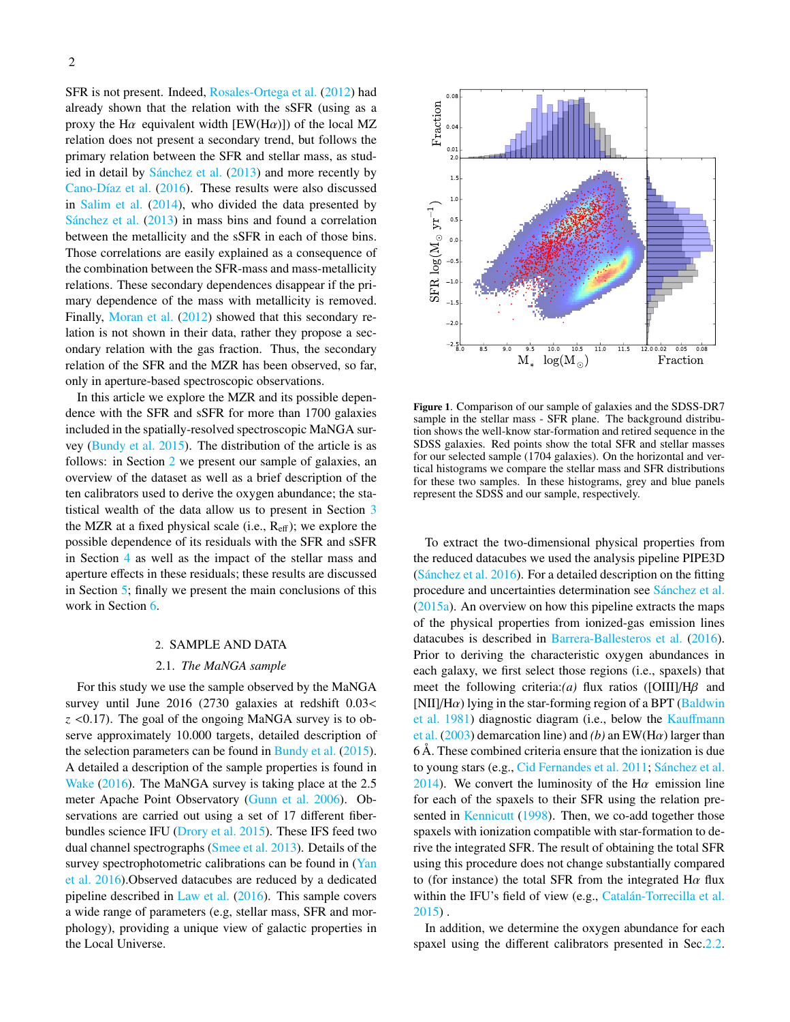SFR is not present. Indeed, [Rosales-Ortega et al.](#page-9-3) [\(2012\)](#page-9-3) had already shown that the relation with the sSFR (using as a proxy the H $\alpha$  equivalent width [EW(H $\alpha$ )]) of the local MZ relation does not present a secondary trend, but follows the primary relation between the SFR and stellar mass, as studied in detail by Sánchez et al.  $(2013)$  and more recently by Cano-Díaz et al. [\(2016\)](#page-9-18). These results were also discussed in [Salim et al.](#page-9-19) [\(2014\)](#page-9-19), who divided the data presented by Sánchez et al.  $(2013)$  in mass bins and found a correlation between the metallicity and the sSFR in each of those bins. Those correlations are easily explained as a consequence of the combination between the SFR-mass and mass-metallicity relations. These secondary dependences disappear if the primary dependence of the mass with metallicity is removed. Finally, [Moran et al.](#page-9-20) [\(2012\)](#page-9-20) showed that this secondary relation is not shown in their data, rather they propose a secondary relation with the gas fraction. Thus, the secondary relation of the SFR and the MZR has been observed, so far, only in aperture-based spectroscopic observations.

In this article we explore the MZR and its possible dependence with the SFR and sSFR for more than 1700 galaxies included in the spatially-resolved spectroscopic MaNGA survey [\(Bundy et al.](#page-9-21) [2015\)](#page-9-21). The distribution of the article is as follows: in Section [2](#page-1-0) we present our sample of galaxies, an overview of the dataset as well as a brief description of the ten calibrators used to derive the oxygen abundance; the statistical wealth of the data allow us to present in Section [3](#page-2-0) the MZR at a fixed physical scale (i.e.,  $R_{\text{eff}}$ ); we explore the possible dependence of its residuals with the SFR and sSFR in Section [4](#page-2-1) as well as the impact of the stellar mass and aperture effects in these residuals; these results are discussed in Section [5;](#page-6-0) finally we present the main conclusions of this work in Section [6.](#page-8-0)

### 2. SAMPLE AND DATA

# 2.1. *The MaNGA sample*

<span id="page-1-0"></span>For this study we use the sample observed by the MaNGA survey until June 2016 (2730 galaxies at redshift 0.03< *<sup>z</sup>* <0.17). The goal of the ongoing MaNGA survey is to observe approximately 10.000 targets, detailed description of the selection parameters can be found in [Bundy et al.](#page-9-21) [\(2015\)](#page-9-21). A detailed a description of the sample properties is found in [Wake](#page-9-22) [\(2016\)](#page-9-22). The MaNGA survey is taking place at the 2.5 meter Apache Point Observatory [\(Gunn et al.](#page-9-23) [2006\)](#page-9-23). Observations are carried out using a set of 17 different fiberbundles science IFU [\(Drory et al.](#page-9-24) [2015\)](#page-9-24). These IFS feed two dual channel spectrographs [\(Smee et al.](#page-9-25) [2013\)](#page-9-25). Details of the survey spectrophotometric calibrations can be found in [\(Yan](#page-9-26) [et al.](#page-9-26) [2016\)](#page-9-26).Observed datacubes are reduced by a dedicated pipeline described in [Law et al.](#page-9-27) [\(2016\)](#page-9-27). This sample covers a wide range of parameters (e.g, stellar mass, SFR and morphology), providing a unique view of galactic properties in the Local Universe.



<span id="page-1-1"></span>Figure 1. Comparison of our sample of galaxies and the SDSS-DR7 sample in the stellar mass - SFR plane. The background distribution shows the well-know star-formation and retired sequence in the SDSS galaxies. Red points show the total SFR and stellar masses for our selected sample (1704 galaxies). On the horizontal and vertical histograms we compare the stellar mass and SFR distributions for these two samples. In these histograms, grey and blue panels represent the SDSS and our sample, respectively.

To extract the two-dimensional physical properties from the reduced datacubes we used the analysis pipeline PIPE3D (Sánchez et al.  $2016$ ). For a detailed description on the fitting procedure and uncertainties determination see Sánchez et al. [\(2015a\)](#page-9-29). An overview on how this pipeline extracts the maps of the physical properties from ionized-gas emission lines datacubes is described in [Barrera-Ballesteros et al.](#page-9-6) [\(2016\)](#page-9-6). Prior to deriving the characteristic oxygen abundances in each galaxy, we first select those regions (i.e., spaxels) that meet the following criteria:*(a)* flux ratios ([OIII]/Hβ and [NII]/H $\alpha$ ) lying in the star-forming region of a BPT [\(Baldwin](#page-9-30) [et al.](#page-9-30) [1981\)](#page-9-30) diagnostic diagram (i.e., below the Kauff[mann](#page-9-31) [et al.](#page-9-31)  $(2003)$  demarcation line) and *(b)* an EW(H $\alpha$ ) larger than 6 Å. These combined criteria ensure that the ionization is due to young stars (e.g., [Cid Fernandes et al.](#page-9-32) [2011;](#page-9-32) Sánchez et al. [2014\)](#page-9-4). We convert the luminosity of the H $\alpha$  emission line for each of the spaxels to their SFR using the relation pre-sented in [Kennicutt](#page-9-33) [\(1998\)](#page-9-33). Then, we co-add together those spaxels with ionization compatible with star-formation to derive the integrated SFR. The result of obtaining the total SFR using this procedure does not change substantially compared to (for instance) the total SFR from the integrated  $H\alpha$  flux within the IFU's field of view (e.g., Catalán-Torrecilla et al. [2015\)](#page-9-34) .

In addition, we determine the oxygen abundance for each spaxel using the different calibrators presented in Sec[.2.2.](#page-2-2)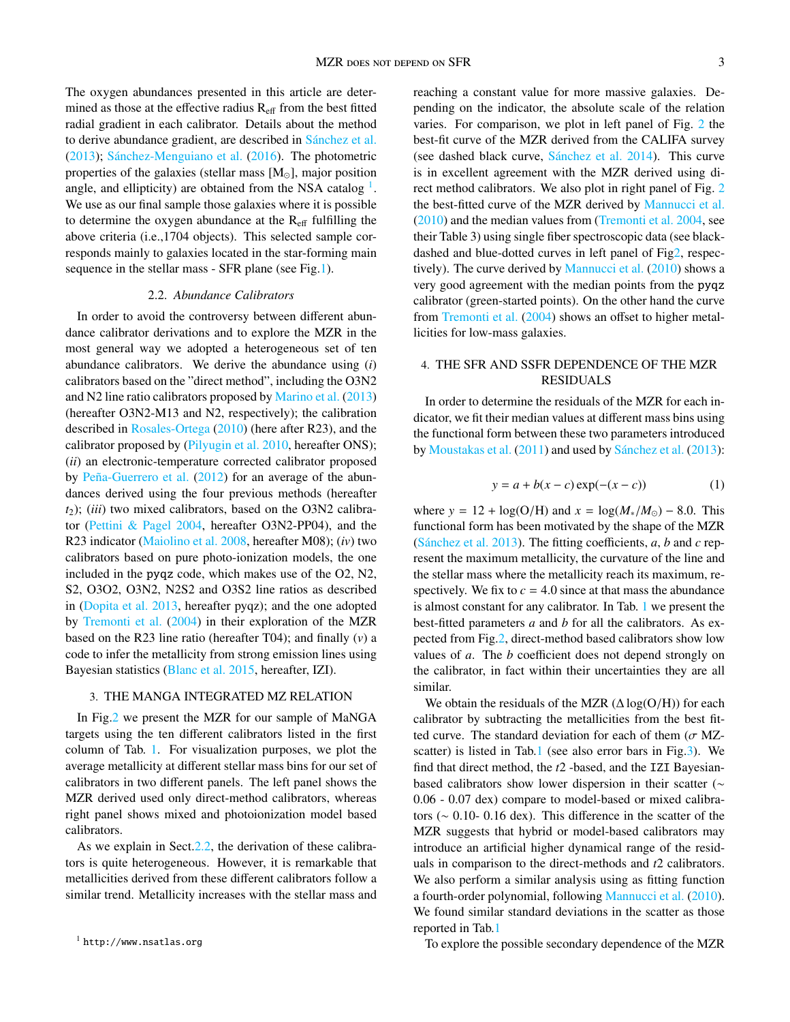The oxygen abundances presented in this article are determined as those at the effective radius  $R<sub>eff</sub>$  from the best fitted radial gradient in each calibrator. Details about the method to derive abundance gradient, are described in Sánchez et al. [\(2013\)](#page-9-5); Sánchez-Menguiano et al.  $(2016)$ . The photometric properties of the galaxies (stellar mass  $[M_{\odot}]$ , major position angle, and ellipticity) are obtained from the NSA catalog  $<sup>1</sup>$  $<sup>1</sup>$  $<sup>1</sup>$ .</sup> We use as our final sample those galaxies where it is possible to determine the oxygen abundance at the  $R_{\text{eff}}$  fulfilling the above criteria (i.e.,1704 objects). This selected sample corresponds mainly to galaxies located in the star-forming main sequence in the stellar mass - SFR plane (see Fig[.1\)](#page-1-1).

### 2.2. *Abundance Calibrators*

<span id="page-2-2"></span>In order to avoid the controversy between different abundance calibrator derivations and to explore the MZR in the most general way we adopted a heterogeneous set of ten abundance calibrators. We derive the abundance using (*i*) calibrators based on the "direct method", including the O3N2 and N2 line ratio calibrators proposed by [Marino et al.](#page-9-36) [\(2013\)](#page-9-36) (hereafter O3N2-M13 and N2, respectively); the calibration described in [Rosales-Ortega](#page-9-37) [\(2010\)](#page-9-37) (here after R23), and the calibrator proposed by [\(Pilyugin et al.](#page-9-38) [2010,](#page-9-38) hereafter ONS); (*ii*) an electronic-temperature corrected calibrator proposed by Peña-Guerrero et al.  $(2012)$  for an average of the abundances derived using the four previous methods (hereafter *t*2); (*iii*) two mixed calibrators, based on the O3N2 calibrator [\(Pettini & Pagel](#page-9-40) [2004,](#page-9-40) hereafter O3N2-PP04), and the R23 indicator [\(Maiolino et al.](#page-9-41) [2008,](#page-9-41) hereafter M08); (*iv*) two calibrators based on pure photo-ionization models, the one included in the pyqz code, which makes use of the O2, N2, S2, O3O2, O3N2, N2S2 and O3S2 line ratios as described in [\(Dopita et al.](#page-9-42) [2013,](#page-9-42) hereafter pyqz); and the one adopted by [Tremonti et al.](#page-9-1) [\(2004\)](#page-9-1) in their exploration of the MZR based on the R23 line ratio (hereafter T04); and finally (*v*) a code to infer the metallicity from strong emission lines using Bayesian statistics [\(Blanc et al.](#page-9-43) [2015,](#page-9-43) hereafter, IZI).

### <span id="page-2-0"></span>3. THE MANGA INTEGRATED MZ RELATION

In Fig[.2](#page-3-0) we present the MZR for our sample of MaNGA targets using the ten different calibrators listed in the first column of Tab. [1.](#page-3-1) For visualization purposes, we plot the average metallicity at different stellar mass bins for our set of calibrators in two different panels. The left panel shows the MZR derived used only direct-method calibrators, whereas right panel shows mixed and photoionization model based calibrators.

As we explain in Sect[.2.2,](#page-2-2) the derivation of these calibrators is quite heterogeneous. However, it is remarkable that metallicities derived from these different calibrators follow a similar trend. Metallicity increases with the stellar mass and

reaching a constant value for more massive galaxies. Depending on the indicator, the absolute scale of the relation varies. For comparison, we plot in left panel of Fig. [2](#page-3-0) the best-fit curve of the MZR derived from the CALIFA survey (see dashed black curve,  $S$ ánchez et al.  $2014$ ). This curve is in excellent agreement with the MZR derived using direct method calibrators. We also plot in right panel of Fig. [2](#page-3-0) the best-fitted curve of the MZR derived by [Mannucci et al.](#page-9-8) [\(2010\)](#page-9-8) and the median values from [\(Tremonti et al.](#page-9-1) [2004,](#page-9-1) see their Table 3) using single fiber spectroscopic data (see blackdashed and blue-dotted curves in left panel of Fi[g2,](#page-3-0) respec-tively). The curve derived by [Mannucci et al.](#page-9-8) [\(2010\)](#page-9-8) shows a very good agreement with the median points from the pyqz calibrator (green-started points). On the other hand the curve from [Tremonti et al.](#page-9-1) [\(2004\)](#page-9-1) shows an offset to higher metallicities for low-mass galaxies.

# <span id="page-2-1"></span>4. THE SFR AND SSFR DEPENDENCE OF THE MZR RESIDUALS

In order to determine the residuals of the MZR for each indicator, we fit their median values at different mass bins using the functional form between these two parameters introduced by [Moustakas et al.](#page-9-44) [\(2011\)](#page-9-44) and used by Sánchez et al. [\(2013\)](#page-9-5):

$$
y = a + b(x - c) \exp(-(x - c))
$$
 (1)

<span id="page-2-4"></span>where  $y = 12 + \log(O/H)$  and  $x = \log(M_*/M_{\odot}) - 8.0$ . This functional form has been motivated by the shape of the MZR (Sánchez et al.  $2013$ ). The fitting coefficients,  $a$ ,  $b$  and  $c$  represent the maximum metallicity, the curvature of the line and the stellar mass where the metallicity reach its maximum, respectively. We fix to  $c = 4.0$  since at that mass the abundance is almost constant for any calibrator. In Tab. [1](#page-3-1) we present the best-fitted parameters *a* and *b* for all the calibrators. As expected from Fig[.2,](#page-3-0) direct-method based calibrators show low values of *a*. The *b* coefficient does not depend strongly on the calibrator, in fact within their uncertainties they are all similar.

We obtain the residuals of the MZR  $(\Delta \log(O/H))$  for each calibrator by subtracting the metallicities from the best fitted curve. The standard deviation for each of them ( $\sigma$  MZscatter) is listed in Tab[.1](#page-3-1) (see also error bars in Fig[.3\)](#page-2-0). We find that direct method, the *t*2 -based, and the IZI Bayesianbased calibrators show lower dispersion in their scatter (∼ 0.06 - 0.07 dex) compare to model-based or mixed calibrators (∼ 0.10- 0.16 dex). This difference in the scatter of the MZR suggests that hybrid or model-based calibrators may introduce an artificial higher dynamical range of the residuals in comparison to the direct-methods and *t*2 calibrators. We also perform a similar analysis using as fitting function a fourth-order polynomial, following [Mannucci et al.](#page-9-8) [\(2010\)](#page-9-8). We found similar standard deviations in the scatter as those reported in Tab[.1](#page-3-1)

To explore the possible secondary dependence of the MZR

<span id="page-2-3"></span><sup>1</sup> http://www.nsatlas.org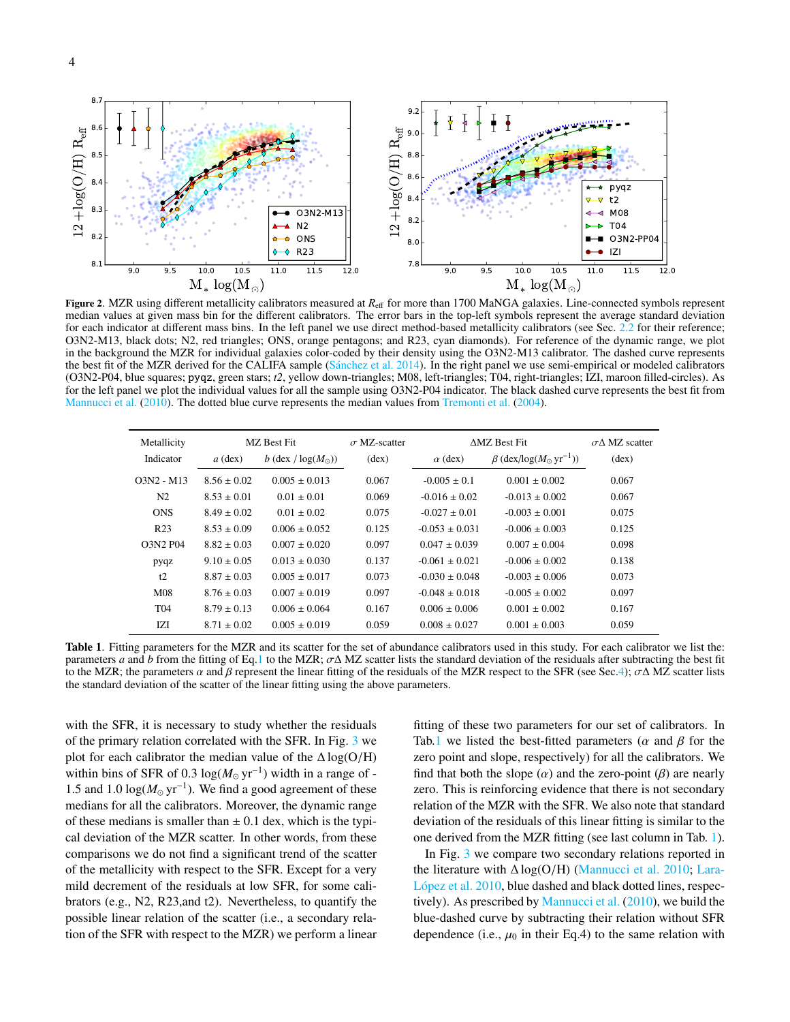

<span id="page-3-0"></span>Figure 2. MZR using different metallicity calibrators measured at  $R_{\text{eff}}$  for more than 1700 MaNGA galaxies. Line-connected symbols represent median values at given mass bin for the different calibrators. The error bars in the top-left symbols represent the average standard deviation for each indicator at different mass bins. In the left panel we use direct method-based metallicity calibrators (see Sec. [2.2](#page-2-2) for their reference; O3N2-M13, black dots; N2, red triangles; ONS, orange pentagons; and R23, cyan diamonds). For reference of the dynamic range, we plot in the background the MZR for individual galaxies color-coded by their density using the O3N2-M13 calibrator. The dashed curve represents the best fit of the MZR derived for the CALIFA sample (Sánchez et al. [2014\)](#page-9-4). In the right panel we use semi-empirical or modeled calibrators (O3N2-P04, blue squares; pyqz, green stars; *t2*, yellow down-triangles; M08, left-triangles; T04, right-triangles; IZI, maroon filled-circles). As for the left panel we plot the individual values for all the sample using O3N2-P04 indicator. The black dashed curve represents the best fit from [Mannucci et al.](#page-9-8) [\(2010\)](#page-9-8). The dotted blue curve represents the median values from [Tremonti et al.](#page-9-1) [\(2004\)](#page-9-1).

| Metallicity     | MZ Best Fit     |                             | $\sigma$ MZ-scatter | <b>AMZ Best Fit</b> |                                                   | $\sigma \Lambda$ MZ scatter |
|-----------------|-----------------|-----------------------------|---------------------|---------------------|---------------------------------------------------|-----------------------------|
| Indicator       | $a$ (dex)       | b (dex / $log(M_{\odot})$ ) | $(\text{dex})$      | $\alpha$ (dex)      | $\beta$ (dex/log( $M_{\odot}$ yr <sup>-1</sup> )) | $(\text{dex})$              |
| $O3N2 - M13$    | $8.56 \pm 0.02$ | $0.005 \pm 0.013$           | 0.067               | $-0.005 \pm 0.1$    | $0.001 + 0.002$                                   | 0.067                       |
| N <sub>2</sub>  | $8.53 \pm 0.01$ | $0.01 \pm 0.01$             | 0.069               | $-0.016 + 0.02$     | $-0.013 + 0.002$                                  | 0.067                       |
| <b>ONS</b>      | $8.49 \pm 0.02$ | $0.01 \pm 0.02$             | 0.075               | $-0.027 \pm 0.01$   | $-0.003 \pm 0.001$                                | 0.075                       |
| R <sub>23</sub> | $8.53 \pm 0.09$ | $0.006 \pm 0.052$           | 0.125               | $-0.053 \pm 0.031$  | $-0.006 + 0.003$                                  | 0.125                       |
| <b>O3N2 P04</b> | $8.82 \pm 0.03$ | $0.007 + 0.020$             | 0.097               | $0.047 \pm 0.039$   | $0.007 + 0.004$                                   | 0.098                       |
| pyqz            | $9.10 \pm 0.05$ | $0.013 \pm 0.030$           | 0.137               | $-0.061 + 0.021$    | $-0.006 \pm 0.002$                                | 0.138                       |
| t2              | $8.87 \pm 0.03$ | $0.005 \pm 0.017$           | 0.073               | $-0.030 \pm 0.048$  | $-0.003 + 0.006$                                  | 0.073                       |
| M <sub>08</sub> | $8.76 \pm 0.03$ | $0.007 \pm 0.019$           | 0.097               | $-0.048 \pm 0.018$  | $-0.005 + 0.002$                                  | 0.097                       |
| T <sub>04</sub> | $8.79 \pm 0.13$ | $0.006 \pm 0.064$           | 0.167               | $0.006 \pm 0.006$   | $0.001 + 0.002$                                   | 0.167                       |
| IZI             | $8.71 \pm 0.02$ | $0.005 \pm 0.019$           | 0.059               | $0.008 \pm 0.027$   | $0.001 \pm 0.003$                                 | 0.059                       |

<span id="page-3-1"></span>Table 1. Fitting parameters for the MZR and its scatter for the set of abundance calibrators used in this study. For each calibrator we list the: parameters *a* and *b* from the fitting of Eq[.1](#page-2-4) to the MZR;  $\sigma \Delta$  MZ scatter lists the standard deviation of the residuals after subtracting the best fit to the MZR; the parameters  $\alpha$  and  $\beta$  represent the linear fitting of the residuals of the MZR respect to the SFR (see Sec[.4\)](#page-2-1);  $\sigma\Delta$  MZ scatter lists the standard deviation of the scatter of the linear fitting using the above parameters.

with the SFR, it is necessary to study whether the residuals of the primary relation correlated with the SFR. In Fig. [3](#page-4-0) we plot for each calibrator the median value of the  $\Delta \log(O/H)$ within bins of SFR of 0.3  $log(M_{\odot} yr^{-1})$  width in a range of -1.5 and 1.0  $\log(M_{\odot} \text{ yr}^{-1})$ . We find a good agreement of these medians for all the calibrators. Moreover, the dynamic range of these medians is smaller than  $\pm$  0.1 dex, which is the typical deviation of the MZR scatter. In other words, from these comparisons we do not find a significant trend of the scatter of the metallicity with respect to the SFR. Except for a very mild decrement of the residuals at low SFR, for some calibrators (e.g., N2, R23,and t2). Nevertheless, to quantify the possible linear relation of the scatter (i.e., a secondary relation of the SFR with respect to the MZR) we perform a linear

fitting of these two parameters for our set of calibrators. In Tab[.1](#page-3-1) we listed the best-fitted parameters ( $\alpha$  and  $\beta$  for the zero point and slope, respectively) for all the calibrators. We find that both the slope  $(\alpha)$  and the zero-point  $(\beta)$  are nearly zero. This is reinforcing evidence that there is not secondary relation of the MZR with the SFR. We also note that standard deviation of the residuals of this linear fitting is similar to the one derived from the MZR fitting (see last column in Tab. [1\)](#page-3-1).

In Fig. [3](#page-4-0) we compare two secondary relations reported in the literature with  $\Delta \log(O/H)$  [\(Mannucci et al.](#page-9-8) [2010;](#page-9-8) [Lara-](#page-9-9)López et al. [2010,](#page-9-9) blue dashed and black dotted lines, respectively). As prescribed by [Mannucci et al.](#page-9-8) [\(2010\)](#page-9-8), we build the blue-dashed curve by subtracting their relation without SFR dependence (i.e.,  $\mu_0$  in their Eq.4) to the same relation with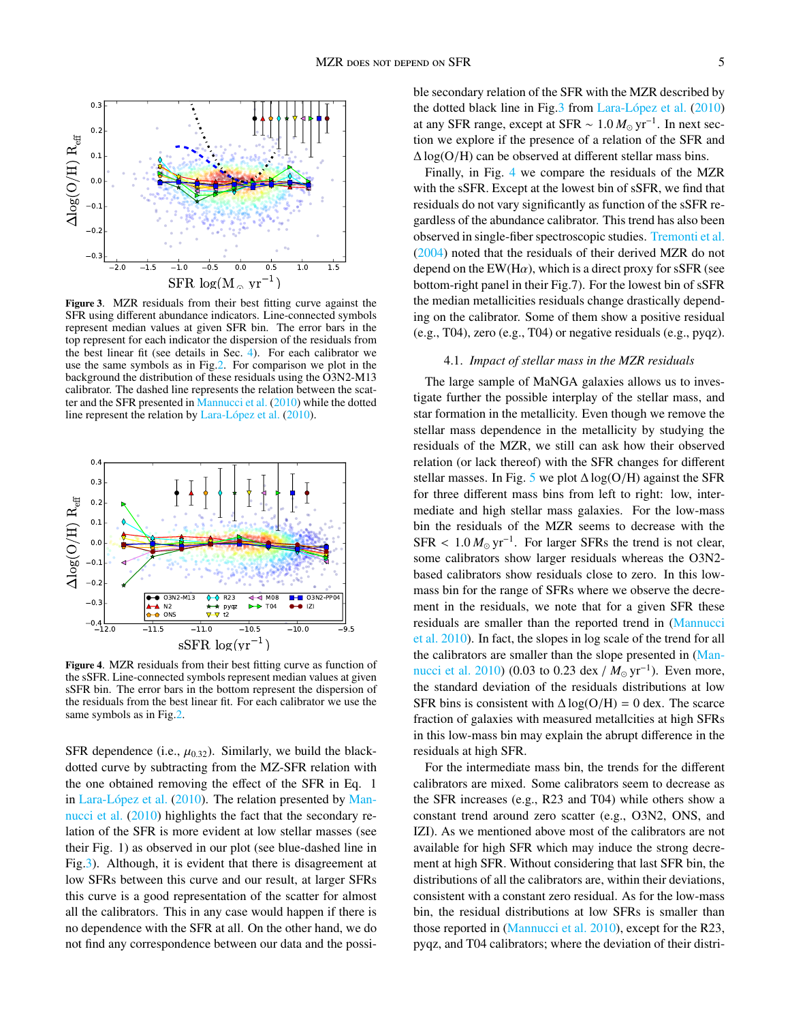

<span id="page-4-0"></span>Figure 3. MZR residuals from their best fitting curve against the SFR using different abundance indicators. Line-connected symbols represent median values at given SFR bin. The error bars in the top represent for each indicator the dispersion of the residuals from the best linear fit (see details in Sec. [4\)](#page-2-1). For each calibrator we use the same symbols as in Fig[.2.](#page-3-0) For comparison we plot in the background the distribution of these residuals using the O3N2-M13 calibrator. The dashed line represents the relation between the scatter and the SFR presented in [Mannucci et al.](#page-9-8) [\(2010\)](#page-9-8) while the dotted line represent the relation by Lara-López et al.  $(2010)$ .



<span id="page-4-1"></span>Figure 4. MZR residuals from their best fitting curve as function of the sSFR. Line-connected symbols represent median values at given sSFR bin. The error bars in the bottom represent the dispersion of the residuals from the best linear fit. For each calibrator we use the same symbols as in Fig[.2.](#page-3-0)

SFR dependence (i.e.,  $\mu_{0.32}$ ). Similarly, we build the blackdotted curve by subtracting from the MZ-SFR relation with the one obtained removing the effect of the SFR in Eq. 1 in Lara-López et al.  $(2010)$ . The relation presented by [Man](#page-9-8)[nucci et al.](#page-9-8) [\(2010\)](#page-9-8) highlights the fact that the secondary relation of the SFR is more evident at low stellar masses (see their Fig. 1) as observed in our plot (see blue-dashed line in Fig[.3\)](#page-4-0). Although, it is evident that there is disagreement at low SFRs between this curve and our result, at larger SFRs this curve is a good representation of the scatter for almost all the calibrators. This in any case would happen if there is no dependence with the SFR at all. On the other hand, we do not find any correspondence between our data and the possible secondary relation of the SFR with the MZR described by the dotted black line in Fig.  $3$  from Lara-López et al.  $(2010)$ at any SFR range, except at SFR  $\sim 1.0 M_{\odot} \text{ yr}^{-1}$ . In next section we explore if the presence of a relation of the SEP and tion we explore if the presence of a relation of the SFR and  $\Delta \log(O/H)$  can be observed at different stellar mass bins.

Finally, in Fig. [4](#page-4-1) we compare the residuals of the MZR with the sSFR. Except at the lowest bin of sSFR, we find that residuals do not vary significantly as function of the sSFR regardless of the abundance calibrator. This trend has also been observed in single-fiber spectroscopic studies. [Tremonti et al.](#page-9-1) [\(2004\)](#page-9-1) noted that the residuals of their derived MZR do not depend on the EW(H $\alpha$ ), which is a direct proxy for sSFR (see bottom-right panel in their Fig.7). For the lowest bin of sSFR the median metallicities residuals change drastically depending on the calibrator. Some of them show a positive residual (e.g., T04), zero (e.g., T04) or negative residuals (e.g., pyqz).

### 4.1. *Impact of stellar mass in the MZR residuals*

The large sample of MaNGA galaxies allows us to investigate further the possible interplay of the stellar mass, and star formation in the metallicity. Even though we remove the stellar mass dependence in the metallicity by studying the residuals of the MZR, we still can ask how their observed relation (or lack thereof) with the SFR changes for different stellar masses. In Fig. [5](#page-5-0) we plot  $\Delta \log(O/H)$  against the SFR for three different mass bins from left to right: low, intermediate and high stellar mass galaxies. For the low-mass bin the residuals of the MZR seems to decrease with the  $SFR < 1.0 M_{\odot} \text{ yr}^{-1}$ . For larger SFRs the trend is not clear, some calibrators show larger residuals whereas the  $O3N2$ some calibrators show larger residuals whereas the O3N2 based calibrators show residuals close to zero. In this lowmass bin for the range of SFRs where we observe the decrement in the residuals, we note that for a given SFR these residuals are smaller than the reported trend in [\(Mannucci](#page-9-8) [et al.](#page-9-8) [2010\)](#page-9-8). In fact, the slopes in log scale of the trend for all the calibrators are smaller than the slope presented in [\(Man](#page-9-8)[nucci et al.](#page-9-8) [2010\)](#page-9-8) (0.03 to 0.23 dex /  $M_{\odot}$  yr<sup>-1</sup>). Even more, the standard deviation of the residuals distributions at low SFR bins is consistent with  $\Delta \log(O/H) = 0$  dex. The scarce fraction of galaxies with measured metallcities at high SFRs in this low-mass bin may explain the abrupt difference in the residuals at high SFR.

For the intermediate mass bin, the trends for the different calibrators are mixed. Some calibrators seem to decrease as the SFR increases (e.g., R23 and T04) while others show a constant trend around zero scatter (e.g., O3N2, ONS, and IZI). As we mentioned above most of the calibrators are not available for high SFR which may induce the strong decrement at high SFR. Without considering that last SFR bin, the distributions of all the calibrators are, within their deviations, consistent with a constant zero residual. As for the low-mass bin, the residual distributions at low SFRs is smaller than those reported in [\(Mannucci et al.](#page-9-8) [2010\)](#page-9-8), except for the R23, pyqz, and T04 calibrators; where the deviation of their distri-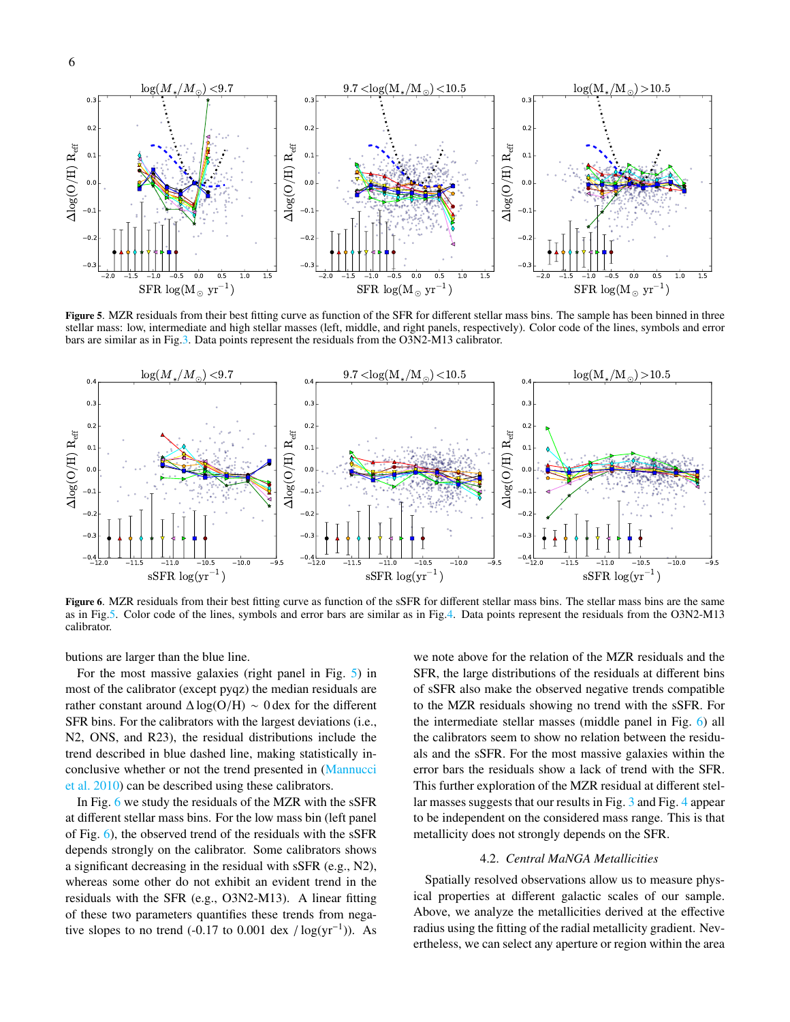

<span id="page-5-0"></span>Figure 5. MZR residuals from their best fitting curve as function of the SFR for different stellar mass bins. The sample has been binned in three stellar mass: low, intermediate and high stellar masses (left, middle, and right panels, respectively). Color code of the lines, symbols and error bars are similar as in Fig[.3.](#page-4-0) Data points represent the residuals from the O3N2-M13 calibrator.



<span id="page-5-1"></span>Figure 6. MZR residuals from their best fitting curve as function of the sSFR for different stellar mass bins. The stellar mass bins are the same as in Fig[.5.](#page-5-0) Color code of the lines, symbols and error bars are similar as in Fig[.4.](#page-4-1) Data points represent the residuals from the O3N2-M13 calibrator.

butions are larger than the blue line.

For the most massive galaxies (right panel in Fig. [5\)](#page-5-0) in most of the calibrator (except pyqz) the median residuals are rather constant around <sup>∆</sup> log(O/H) <sup>∼</sup> 0 dex for the different SFR bins. For the calibrators with the largest deviations (i.e., N2, ONS, and R23), the residual distributions include the trend described in blue dashed line, making statistically inconclusive whether or not the trend presented in [\(Mannucci](#page-9-8) [et al.](#page-9-8) [2010\)](#page-9-8) can be described using these calibrators.

In Fig. [6](#page-5-1) we study the residuals of the MZR with the sSFR at different stellar mass bins. For the low mass bin (left panel of Fig. [6\)](#page-5-1), the observed trend of the residuals with the sSFR depends strongly on the calibrator. Some calibrators shows a significant decreasing in the residual with sSFR (e.g., N2), whereas some other do not exhibit an evident trend in the residuals with the SFR (e.g., O3N2-M13). A linear fitting of these two parameters quantifies these trends from negative slopes to no trend  $(-0.17 \text{ to } 0.001 \text{ dex } / \log(\text{yr}^{-1}))$ . As

we note above for the relation of the MZR residuals and the SFR, the large distributions of the residuals at different bins of sSFR also make the observed negative trends compatible to the MZR residuals showing no trend with the sSFR. For the intermediate stellar masses (middle panel in Fig. [6\)](#page-5-1) all the calibrators seem to show no relation between the residuals and the sSFR. For the most massive galaxies within the error bars the residuals show a lack of trend with the SFR. This further exploration of the MZR residual at different stellar masses suggests that our results in Fig. [3](#page-4-0) and Fig. [4](#page-4-1) appear to be independent on the considered mass range. This is that metallicity does not strongly depends on the SFR.

## 4.2. *Central MaNGA Metallicities*

<span id="page-5-2"></span>Spatially resolved observations allow us to measure physical properties at different galactic scales of our sample. Above, we analyze the metallicities derived at the effective radius using the fitting of the radial metallicity gradient. Nevertheless, we can select any aperture or region within the area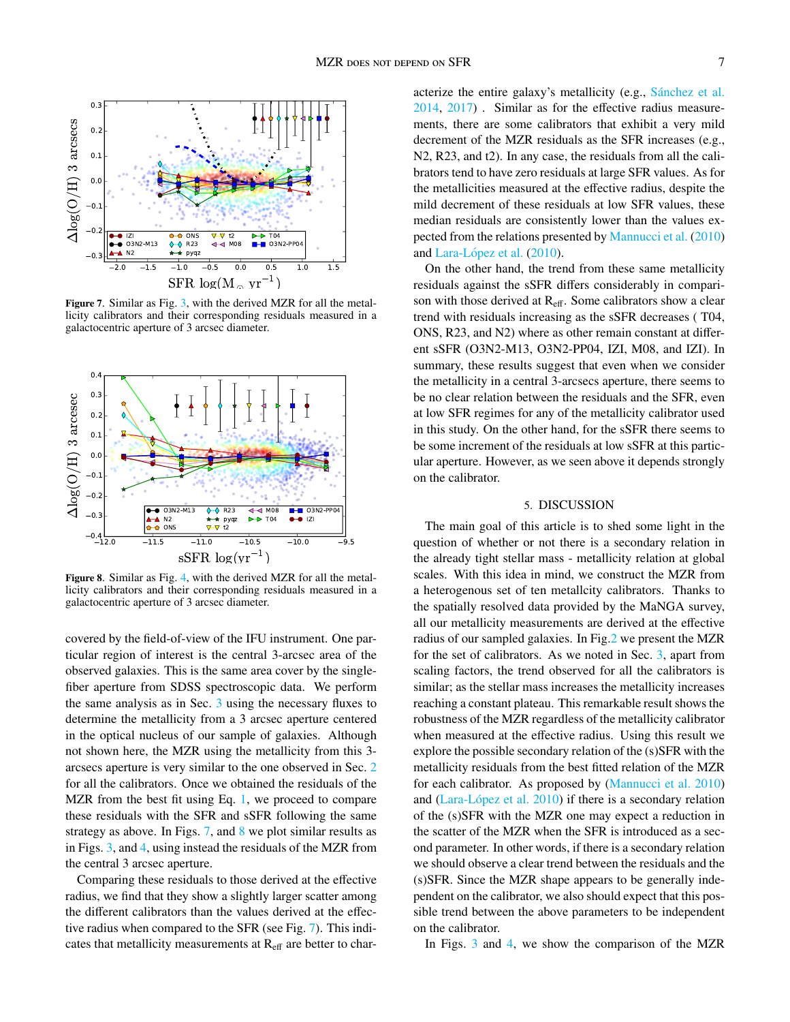

<span id="page-6-1"></span>Figure 7. Similar as Fig. [3,](#page-4-0) with the derived MZR for all the metallicity calibrators and their corresponding residuals measured in a galactocentric aperture of 3 arcsec diameter.



<span id="page-6-2"></span>Figure 8. Similar as Fig. [4,](#page-4-1) with the derived MZR for all the metallicity calibrators and their corresponding residuals measured in a galactocentric aperture of 3 arcsec diameter.

covered by the field-of-view of the IFU instrument. One particular region of interest is the central 3-arcsec area of the observed galaxies. This is the same area cover by the singlefiber aperture from SDSS spectroscopic data. We perform the same analysis as in Sec. [3](#page-2-0) using the necessary fluxes to determine the metallicity from a 3 arcsec aperture centered in the optical nucleus of our sample of galaxies. Although not shown here, the MZR using the metallicity from this 3 arcsecs aperture is very similar to the one observed in Sec. [2](#page-3-0) for all the calibrators. Once we obtained the residuals of the MZR from the best fit using Eq. [1,](#page-2-4) we proceed to compare these residuals with the SFR and sSFR following the same strategy as above. In Figs.  $7$ , and  $8$  we plot similar results as in Figs. [3,](#page-4-0) and [4,](#page-4-1) using instead the residuals of the MZR from the central 3 arcsec aperture.

Comparing these residuals to those derived at the effective radius, we find that they show a slightly larger scatter among the different calibrators than the values derived at the effective radius when compared to the SFR (see Fig. [7\)](#page-6-1). This indicates that metallicity measurements at  $R_{\text{eff}}$  are better to characterize the entire galaxy's metallicity (e.g., Sánchez et al. [2014,](#page-9-4) [2017\)](#page-9-45) . Similar as for the effective radius measurements, there are some calibrators that exhibit a very mild decrement of the MZR residuals as the SFR increases (e.g., N2, R23, and t2). In any case, the residuals from all the calibrators tend to have zero residuals at large SFR values. As for the metallicities measured at the effective radius, despite the mild decrement of these residuals at low SFR values, these median residuals are consistently lower than the values expected from the relations presented by [Mannucci et al.](#page-9-8) [\(2010\)](#page-9-8) and Lara-López et al. [\(2010\)](#page-9-9).

On the other hand, the trend from these same metallicity residuals against the sSFR differs considerably in comparison with those derived at R<sub>eff</sub>. Some calibrators show a clear trend with residuals increasing as the sSFR decreases ( T04, ONS, R23, and N2) where as other remain constant at different sSFR (O3N2-M13, O3N2-PP04, IZI, M08, and IZI). In summary, these results suggest that even when we consider the metallicity in a central 3-arcsecs aperture, there seems to be no clear relation between the residuals and the SFR, even at low SFR regimes for any of the metallicity calibrator used in this study. On the other hand, for the sSFR there seems to be some increment of the residuals at low sSFR at this particular aperture. However, as we seen above it depends strongly on the calibrator.

## 5. DISCUSSION

<span id="page-6-0"></span>The main goal of this article is to shed some light in the question of whether or not there is a secondary relation in the already tight stellar mass - metallicity relation at global scales. With this idea in mind, we construct the MZR from a heterogenous set of ten metallcity calibrators. Thanks to the spatially resolved data provided by the MaNGA survey, all our metallicity measurements are derived at the effective radius of our sampled galaxies. In Fig[.2](#page-3-0) we present the MZR for the set of calibrators. As we noted in Sec. [3,](#page-2-0) apart from scaling factors, the trend observed for all the calibrators is similar; as the stellar mass increases the metallicity increases reaching a constant plateau. This remarkable result shows the robustness of the MZR regardless of the metallicity calibrator when measured at the effective radius. Using this result we explore the possible secondary relation of the (s)SFR with the metallicity residuals from the best fitted relation of the MZR for each calibrator. As proposed by [\(Mannucci et al.](#page-9-8) [2010\)](#page-9-8) and  $(Lara-López et al. 2010)$  $(Lara-López et al. 2010)$  if there is a secondary relation of the (s)SFR with the MZR one may expect a reduction in the scatter of the MZR when the SFR is introduced as a second parameter. In other words, if there is a secondary relation we should observe a clear trend between the residuals and the (s)SFR. Since the MZR shape appears to be generally independent on the calibrator, we also should expect that this possible trend between the above parameters to be independent on the calibrator.

In Figs. [3](#page-4-0) and [4,](#page-4-1) we show the comparison of the MZR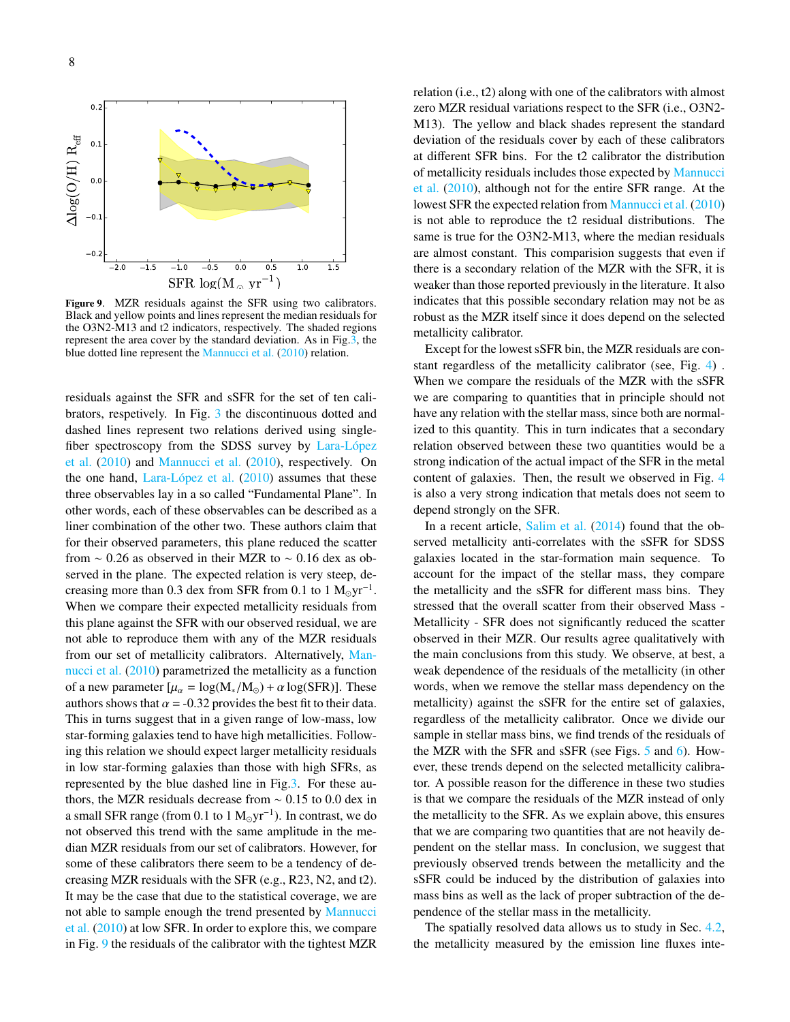

<span id="page-7-0"></span>Figure 9. MZR residuals against the SFR using two calibrators. Black and yellow points and lines represent the median residuals for the O3N2-M13 and t2 indicators, respectively. The shaded regions represent the area cover by the standard deviation. As in Fig[.3,](#page-4-0) the blue dotted line represent the [Mannucci et al.](#page-9-8) [\(2010\)](#page-9-8) relation.

residuals against the SFR and sSFR for the set of ten calibrators, respetively. In Fig. [3](#page-4-0) the discontinuous dotted and dashed lines represent two relations derived using singlefiber spectroscopy from the SDSS survey by Lara-López [et al.](#page-9-9) [\(2010\)](#page-9-9) and [Mannucci et al.](#page-9-8) [\(2010\)](#page-9-8), respectively. On the one hand, Lara-López et al.  $(2010)$  assumes that these three observables lay in a so called "Fundamental Plane". In other words, each of these observables can be described as a liner combination of the other two. These authors claim that for their observed parameters, this plane reduced the scatter from  $\sim$  0.26 as observed in their MZR to  $\sim$  0.16 dex as observed in the plane. The expected relation is very steep, decreasing more than 0.3 dex from SFR from 0.1 to  $1 \text{ M}_{\odot} \text{yr}^{-1}$ . When we compare their expected metallicity residuals from this plane against the SFR with our observed residual, we are not able to reproduce them with any of the MZR residuals from our set of metallicity calibrators. Alternatively, [Man](#page-9-8)[nucci et al.](#page-9-8) [\(2010\)](#page-9-8) parametrized the metallicity as a function of a new parameter  $[\mu_{\alpha} = \log(M_{*}/M_{\odot}) + \alpha \log(SFR)]$ . These authors shows that  $\alpha = -0.32$  provides the best fit to their data. This in turns suggest that in a given range of low-mass, low star-forming galaxies tend to have high metallicities. Following this relation we should expect larger metallicity residuals in low star-forming galaxies than those with high SFRs, as represented by the blue dashed line in Fig[.3.](#page-4-0) For these authors, the MZR residuals decrease from  $\sim 0.15$  to 0.0 dex in a small SFR range (from 0.1 to 1  $M_{\odot}yr^{-1}$ ). In contrast, we do not observed this trend with the same amplitude in the median MZR residuals from our set of calibrators. However, for some of these calibrators there seem to be a tendency of decreasing MZR residuals with the SFR (e.g., R23, N2, and t2). It may be the case that due to the statistical coverage, we are not able to sample enough the trend presented by [Mannucci](#page-9-8) [et al.](#page-9-8) [\(2010\)](#page-9-8) at low SFR. In order to explore this, we compare in Fig. [9](#page-7-0) the residuals of the calibrator with the tightest MZR

relation (i.e., t2) along with one of the calibrators with almost zero MZR residual variations respect to the SFR (i.e., O3N2- M13). The yellow and black shades represent the standard deviation of the residuals cover by each of these calibrators at different SFR bins. For the t2 calibrator the distribution of metallicity residuals includes those expected by [Mannucci](#page-9-8) [et al.](#page-9-8) [\(2010\)](#page-9-8), although not for the entire SFR range. At the lowest SFR the expected relation from [Mannucci et al.](#page-9-8) [\(2010\)](#page-9-8) is not able to reproduce the t2 residual distributions. The same is true for the O3N2-M13, where the median residuals are almost constant. This comparision suggests that even if there is a secondary relation of the MZR with the SFR, it is weaker than those reported previously in the literature. It also indicates that this possible secondary relation may not be as robust as the MZR itself since it does depend on the selected metallicity calibrator.

Except for the lowest sSFR bin, the MZR residuals are constant regardless of the metallicity calibrator (see, Fig. [4\)](#page-4-1) . When we compare the residuals of the MZR with the sSFR we are comparing to quantities that in principle should not have any relation with the stellar mass, since both are normalized to this quantity. This in turn indicates that a secondary relation observed between these two quantities would be a strong indication of the actual impact of the SFR in the metal content of galaxies. Then, the result we observed in Fig. [4](#page-4-1) is also a very strong indication that metals does not seem to depend strongly on the SFR.

In a recent article, [Salim et al.](#page-9-19) [\(2014\)](#page-9-19) found that the observed metallicity anti-correlates with the sSFR for SDSS galaxies located in the star-formation main sequence. To account for the impact of the stellar mass, they compare the metallicity and the sSFR for different mass bins. They stressed that the overall scatter from their observed Mass - Metallicity - SFR does not significantly reduced the scatter observed in their MZR. Our results agree qualitatively with the main conclusions from this study. We observe, at best, a weak dependence of the residuals of the metallicity (in other words, when we remove the stellar mass dependency on the metallicity) against the sSFR for the entire set of galaxies, regardless of the metallicity calibrator. Once we divide our sample in stellar mass bins, we find trends of the residuals of the MZR with the SFR and sSFR (see Figs. [5](#page-5-0) and [6\)](#page-5-1). However, these trends depend on the selected metallicity calibrator. A possible reason for the difference in these two studies is that we compare the residuals of the MZR instead of only the metallicity to the SFR. As we explain above, this ensures that we are comparing two quantities that are not heavily dependent on the stellar mass. In conclusion, we suggest that previously observed trends between the metallicity and the sSFR could be induced by the distribution of galaxies into mass bins as well as the lack of proper subtraction of the dependence of the stellar mass in the metallicity.

The spatially resolved data allows us to study in Sec. [4.2,](#page-5-2) the metallicity measured by the emission line fluxes inte-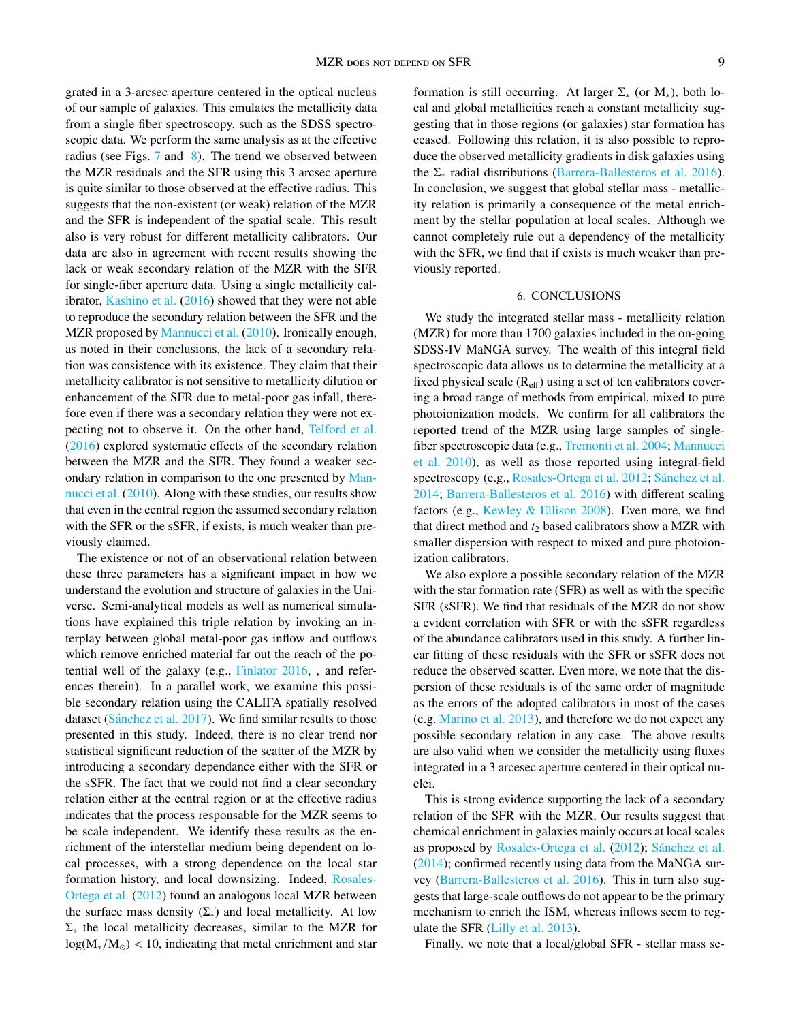grated in a 3-arcsec aperture centered in the optical nucleus of our sample of galaxies. This emulates the metallicity data from a single fiber spectroscopy, such as the SDSS spectroscopic data. We perform the same analysis as at the effective radius (see Figs.  $7$  and  $8$ ). The trend we observed between the MZR residuals and the SFR using this 3 arcsec aperture is quite similar to those observed at the effective radius. This suggests that the non-existent (or weak) relation of the MZR and the SFR is independent of the spatial scale. This result also is very robust for different metallicity calibrators. Our data are also in agreement with recent results showing the lack or weak secondary relation of the MZR with the SFR for single-fiber aperture data. Using a single metallicity calibrator, [Kashino et al.](#page-9-46) [\(2016\)](#page-9-46) showed that they were not able to reproduce the secondary relation between the SFR and the MZR proposed by [Mannucci et al.](#page-9-8) [\(2010\)](#page-9-8). Ironically enough, as noted in their conclusions, the lack of a secondary relation was consistence with its existence. They claim that their metallicity calibrator is not sensitive to metallicity dilution or enhancement of the SFR due to metal-poor gas infall, therefore even if there was a secondary relation they were not expecting not to observe it. On the other hand, [Telford et al.](#page-9-10) [\(2016\)](#page-9-10) explored systematic effects of the secondary relation between the MZR and the SFR. They found a weaker secondary relation in comparison to the one presented by [Man](#page-9-8)[nucci et al.](#page-9-8) [\(2010\)](#page-9-8). Along with these studies, our results show that even in the central region the assumed secondary relation with the SFR or the sSFR, if exists, is much weaker than previously claimed.

The existence or not of an observational relation between these three parameters has a significant impact in how we understand the evolution and structure of galaxies in the Universe. Semi-analytical models as well as numerical simulations have explained this triple relation by invoking an interplay between global metal-poor gas inflow and outflows which remove enriched material far out the reach of the potential well of the galaxy (e.g., [Finlator](#page-9-47) [2016,](#page-9-47) , and references therein). In a parallel work, we examine this possible secondary relation using the CALIFA spatially resolved dataset (Sánchez et al.  $2017$ ). We find similar results to those presented in this study. Indeed, there is no clear trend nor statistical significant reduction of the scatter of the MZR by introducing a secondary dependance either with the SFR or the sSFR. The fact that we could not find a clear secondary relation either at the central region or at the effective radius indicates that the process responsable for the MZR seems to be scale independent. We identify these results as the enrichment of the interstellar medium being dependent on local processes, with a strong dependence on the local star formation history, and local downsizing. Indeed, [Rosales-](#page-9-3)[Ortega et al.](#page-9-3) [\(2012\)](#page-9-3) found an analogous local MZR between the surface mass density  $(\Sigma_*)$  and local metallicity. At low  $\Sigma_*$  the local metallicity decreases, similar to the MZR for  $log(M_{*}/M_{\odot})$  < 10, indicating that metal enrichment and star formation is still occurring. At larger  $\Sigma_*$  (or  $M_*$ ), both local and global metallicities reach a constant metallicity suggesting that in those regions (or galaxies) star formation has ceased. Following this relation, it is also possible to reproduce the observed metallicity gradients in disk galaxies using the  $\Sigma_*$  radial distributions [\(Barrera-Ballesteros et al.](#page-9-6) [2016\)](#page-9-6). In conclusion, we suggest that global stellar mass - metallicity relation is primarily a consequence of the metal enrichment by the stellar population at local scales. Although we cannot completely rule out a dependency of the metallicity with the SFR, we find that if exists is much weaker than previously reported.

## 6. CONCLUSIONS

<span id="page-8-0"></span>We study the integrated stellar mass - metallicity relation (MZR) for more than 1700 galaxies included in the on-going SDSS-IV MaNGA survey. The wealth of this integral field spectroscopic data allows us to determine the metallicity at a fixed physical scale  $(R_{\text{eff}})$  using a set of ten calibrators covering a broad range of methods from empirical, mixed to pure photoionization models. We confirm for all calibrators the reported trend of the MZR using large samples of singlefiber spectroscopic data (e.g., [Tremonti et al.](#page-9-1) [2004;](#page-9-1) [Mannucci](#page-9-8) [et al.](#page-9-8) [2010\)](#page-9-8), as well as those reported using integral-field spectroscopy (e.g., [Rosales-Ortega et al.](#page-9-3) [2012;](#page-9-3) Sánchez et al. [2014;](#page-9-4) [Barrera-Ballesteros et al.](#page-9-6) [2016\)](#page-9-6) with different scaling factors (e.g., [Kewley & Ellison](#page-9-2) [2008\)](#page-9-2). Even more, we find that direct method and  $t_2$  based calibrators show a MZR with smaller dispersion with respect to mixed and pure photoionization calibrators.

We also explore a possible secondary relation of the MZR with the star formation rate (SFR) as well as with the specific SFR (sSFR). We find that residuals of the MZR do not show a evident correlation with SFR or with the sSFR regardless of the abundance calibrators used in this study. A further linear fitting of these residuals with the SFR or sSFR does not reduce the observed scatter. Even more, we note that the dispersion of these residuals is of the same order of magnitude as the errors of the adopted calibrators in most of the cases (e.g. [Marino et al.](#page-9-36) [2013\)](#page-9-36), and therefore we do not expect any possible secondary relation in any case. The above results are also valid when we consider the metallicity using fluxes integrated in a 3 arcesec aperture centered in their optical nuclei.

This is strong evidence supporting the lack of a secondary relation of the SFR with the MZR. Our results suggest that chemical enrichment in galaxies mainly occurs at local scales as proposed by [Rosales-Ortega et al.](#page-9-3) [\(2012\)](#page-9-3); Sánchez et al. [\(2014\)](#page-9-4); confirmed recently using data from the MaNGA survey [\(Barrera-Ballesteros et al.](#page-9-6) [2016\)](#page-9-6). This in turn also suggests that large-scale outflows do not appear to be the primary mechanism to enrich the ISM, whereas inflows seem to regulate the SFR [\(Lilly et al.](#page-9-48) [2013\)](#page-9-48).

Finally, we note that a local/global SFR - stellar mass se-